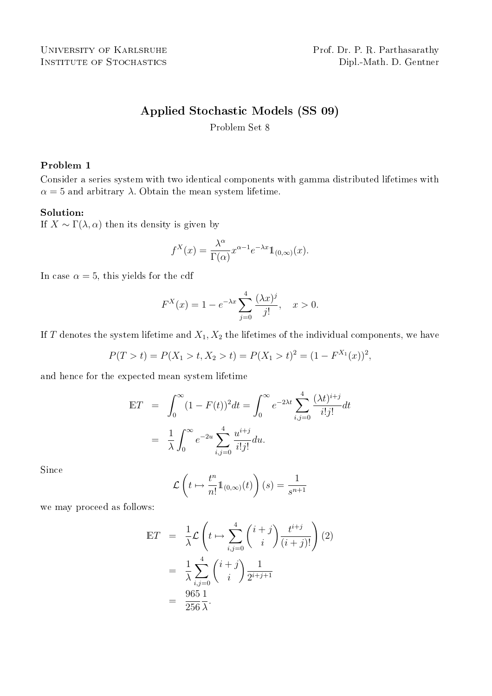# Applied Stochastic Models (SS 09)

Problem Set 8

### Problem 1

Consider a series system with two identical components with gamma distributed lifetimes with  $\alpha = 5$  and arbitrary  $\lambda$ . Obtain the mean system lifetime.

### Solution:

If  $X \sim \Gamma(\lambda, \alpha)$  then its density is given by

$$
f^{X}(x) = \frac{\lambda^{\alpha}}{\Gamma(\alpha)} x^{\alpha - 1} e^{-\lambda x} \mathbb{1}_{(0,\infty)}(x).
$$

In case  $\alpha = 5$ , this yields for the cdf

$$
F^{X}(x) = 1 - e^{-\lambda x} \sum_{j=0}^{4} \frac{(\lambda x)^{j}}{j!}, \quad x > 0.
$$

If T denotes the system lifetime and  $X_1, X_2$  the lifetimes of the individual components, we have

$$
P(T > t) = P(X_1 > t, X_2 > t) = P(X_1 > t)^2 = (1 - F^{X_1}(x))^2,
$$

and hence for the expected mean system lifetime

$$
\begin{split} \mathbb{E}T &= \int_0^\infty (1 - F(t))^2 dt = \int_0^\infty e^{-2\lambda t} \sum_{i,j=0}^4 \frac{(\lambda t)^{i+j}}{i!j!} dt \\ &= \frac{1}{\lambda} \int_0^\infty e^{-2u} \sum_{i,j=0}^4 \frac{u^{i+j}}{i!j!} du. \end{split}
$$

Since

$$
\mathcal{L}\left(t \mapsto \frac{t^n}{n!} 1\!\!1_{(0,\infty)}(t)\right)(s) = \frac{1}{s^{n+1}}
$$

we may proceed as follows:

$$
\begin{split} \mathbb{E}T &= \frac{1}{\lambda} \mathcal{L} \left( t \mapsto \sum_{i,j=0}^{4} \binom{i+j}{i} \frac{t^{i+j}}{(i+j)!} \right) (2) \\ &= \frac{1}{\lambda} \sum_{i,j=0}^{4} \binom{i+j}{i} \frac{1}{2^{i+j+1}} \\ &= \frac{965 \, 1}{256 \, \lambda}. \end{split}
$$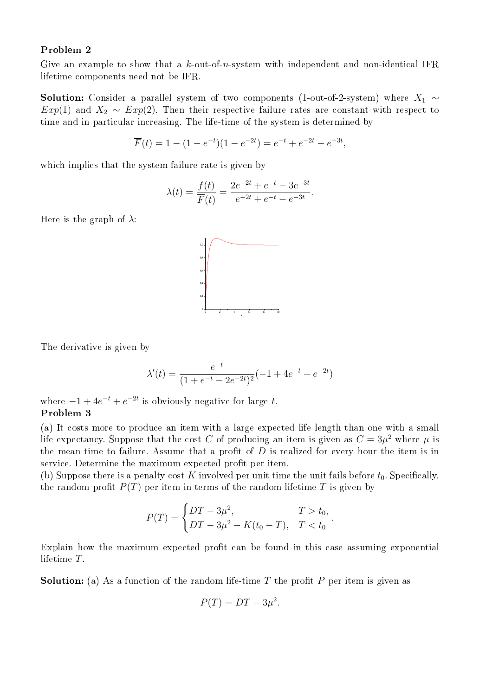### Problem 2

Give an example to show that a  $k$ -out-of-n-system with independent and non-identical IFR lifetime components need not be IFR.

**Solution:** Consider a parallel system of two components (1-out-of-2-system) where  $X_1 \sim$  $Exp(1)$  and  $X_2 \sim Exp(2)$ . Then their respective failure rates are constant with respect to time and in particular increasing. The life-time of the system is determined by

$$
\overline{F}(t) = 1 - (1 - e^{-t})(1 - e^{-2t}) = e^{-t} + e^{-2t} - e^{-3t},
$$

which implies that the system failure rate is given by

$$
\lambda(t) = \frac{f(t)}{\overline{F}(t)} = \frac{2e^{-2t} + e^{-t} - 3e^{-3t}}{e^{-2t} + e^{-t} - e^{-3t}}.
$$

Here is the graph of  $\lambda$ :



The derivative is given by

$$
\lambda'(t) = \frac{e^{-t}}{(1 + e^{-t} - 2e^{-2t})^2}(-1 + 4e^{-t} + e^{-2t})
$$

where  $-1 + 4e^{-t} + e^{-2t}$  is obviously negative for large t. Problem 3

(a) It costs more to produce an item with a large expected life length than one with a small life expectancy. Suppose that the cost C of producing an item is given as  $C = 3\mu^2$  where  $\mu$  is the mean time to failure. Assume that a profit of  $D$  is realized for every hour the item is in service. Determine the maximum expected profit per item.

(b) Suppose there is a penalty cost K involved per unit time the unit fails before  $t_0$ . Specifically, the random profit  $P(T)$  per item in terms of the random lifetime T is given by

$$
P(T) = \begin{cases} DT - 3\mu^2, & T > t_0, \\ DT - 3\mu^2 - K(t_0 - T), & T < t_0 \end{cases}
$$

.

Explain how the maximum expected profit can be found in this case assuming exponential lifetime T.

**Solution:** (a) As a function of the random life-time T the profit P per item is given as

$$
P(T) = DT - 3\mu^2.
$$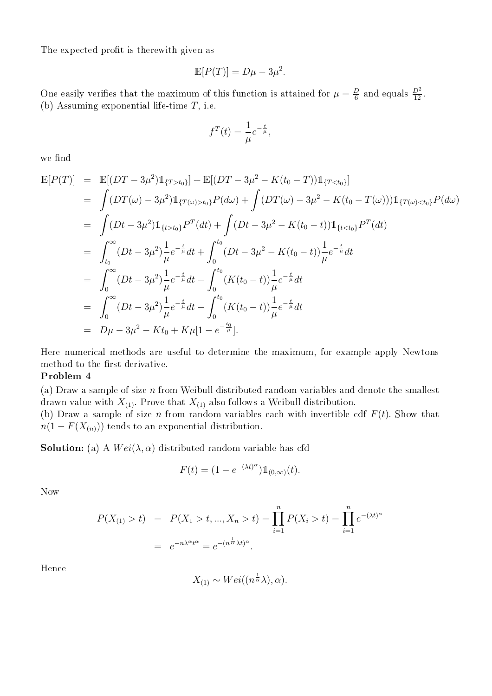The expected profit is therewith given as

$$
\mathbb{E}[P(T)] = D\mu - 3\mu^2.
$$

One easily verifies that the maximum of this function is attained for  $\mu = \frac{D}{6}$  $\frac{D}{6}$  and equals  $\frac{D^2}{12}$ . (b) Assuming exponential life-time  $T$ , i.e.

$$
f^T(t) = \frac{1}{\mu} e^{-\frac{t}{\mu}},
$$

we find

$$
\mathbb{E}[P(T)] = \mathbb{E}[(DT - 3\mu^{2})\mathbb{1}_{\{T > t_{0}\}}] + \mathbb{E}[(DT - 3\mu^{2} - K(t_{0} - T))\mathbb{1}_{\{T < t_{0}\}}]
$$
\n
$$
= \int (DT(\omega) - 3\mu^{2})\mathbb{1}_{\{T(\omega) > t_{0}\}} P(d\omega) + \int (DT(\omega) - 3\mu^{2} - K(t_{0} - T(\omega)))\mathbb{1}_{\{T(\omega) < t_{0}\}} P(d\omega)
$$
\n
$$
= \int (Dt - 3\mu^{2})\mathbb{1}_{\{t > t_{0}\}} P^{T}(dt) + \int (Dt - 3\mu^{2} - K(t_{0} - t))\mathbb{1}_{\{t < t_{0}\}} P^{T}(dt)
$$
\n
$$
= \int_{t_{0}}^{\infty} (Dt - 3\mu^{2})\frac{1}{\mu} e^{-\frac{t}{\mu}} dt + \int_{0}^{t_{0}} (Dt - 3\mu^{2} - K(t_{0} - t))\frac{1}{\mu} e^{-\frac{t}{\mu}} dt
$$
\n
$$
= \int_{0}^{\infty} (Dt - 3\mu^{2})\frac{1}{\mu} e^{-\frac{t}{\mu}} dt - \int_{0}^{t_{0}} (K(t_{0} - t))\frac{1}{\mu} e^{-\frac{t}{\mu}} dt
$$
\n
$$
= \int_{0}^{\infty} (Dt - 3\mu^{2})\frac{1}{\mu} e^{-\frac{t}{\mu}} dt - \int_{0}^{t_{0}} (K(t_{0} - t))\frac{1}{\mu} e^{-\frac{t}{\mu}} dt
$$
\n
$$
= D\mu - 3\mu^{2} - Kt_{0} + K\mu[1 - e^{-\frac{t_{0}}{\mu}}].
$$

Here numerical methods are useful to determine the maximum, for example apply Newtons method to the first derivative.

## Problem 4

(a) Draw a sample of size  $n$  from Weibull distributed random variables and denote the smallest drawn value with  $X_{(1)}$ . Prove that  $X_{(1)}$  also follows a Weibull distribution.

(b) Draw a sample of size n from random variables each with invertible cdf  $F(t)$ . Show that  $n(1 - F(X_{(n)}))$  tends to an exponential distribution.

**Solution:** (a) A  $Wei(\lambda, \alpha)$  distributed random variable has cfd

$$
F(t) = (1 - e^{-(\lambda t)^{\alpha}}) \mathbb{1}_{(0,\infty)}(t).
$$

Now

$$
P(X_{(1)} > t) = P(X_1 > t, ..., X_n > t) = \prod_{i=1}^{n} P(X_i > t) = \prod_{i=1}^{n} e^{-(\lambda t)^{\alpha}}
$$

$$
= e^{-n\lambda^{\alpha}t^{\alpha}} = e^{-(n^{\frac{1}{\alpha}}\lambda t)^{\alpha}}.
$$

Hence

$$
X_{(1)} \sim Wei((n^{\frac{1}{\alpha}}\lambda), \alpha).
$$